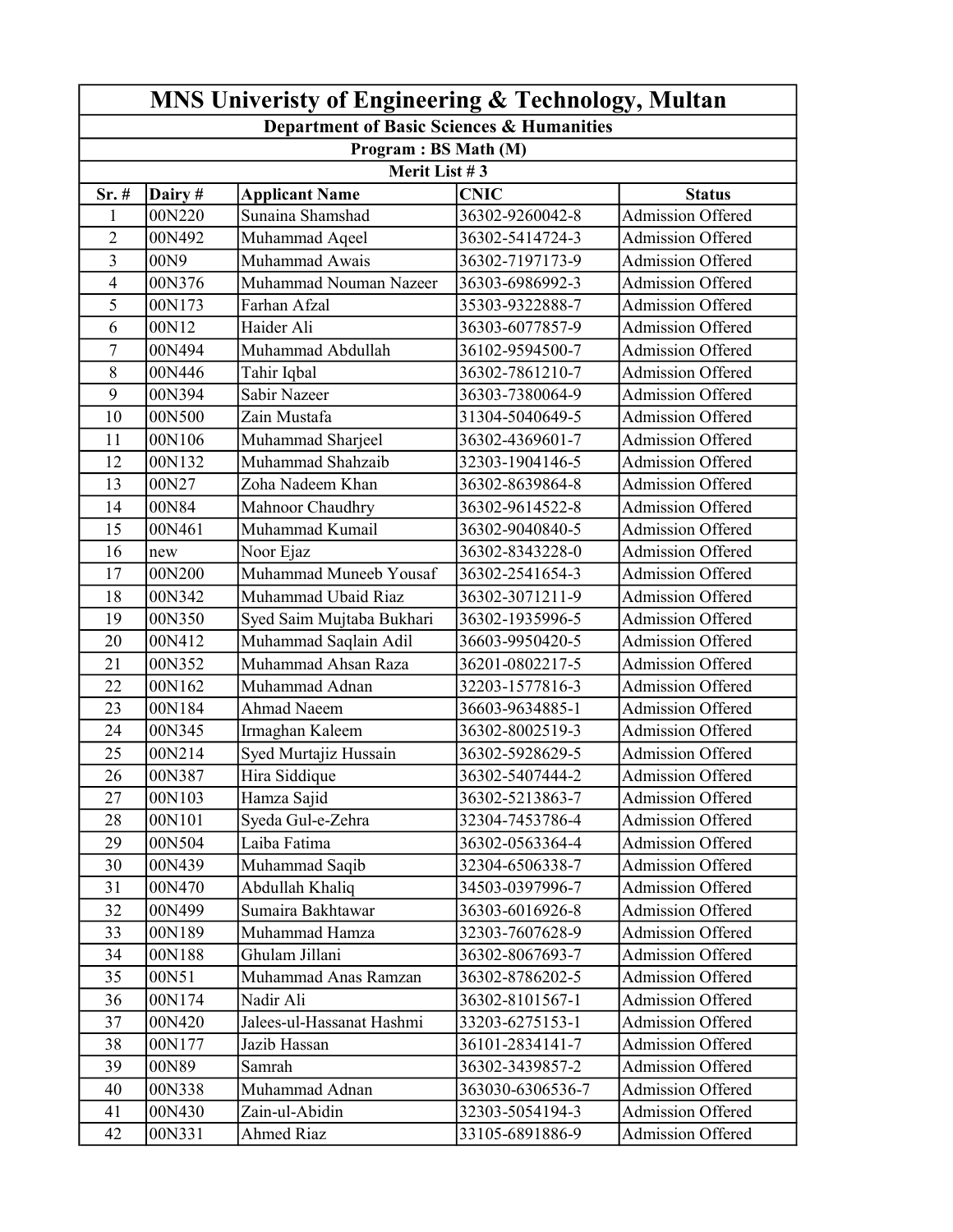| MNS Univeristy of Engineering & Technology, Multan                 |         |                           |                  |                          |  |  |  |  |
|--------------------------------------------------------------------|---------|---------------------------|------------------|--------------------------|--|--|--|--|
| Department of Basic Sciences & Humanities<br>Program : BS Math (M) |         |                           |                  |                          |  |  |  |  |
|                                                                    |         |                           |                  |                          |  |  |  |  |
| Sr. #                                                              | Dairy # | <b>Applicant Name</b>     | <b>CNIC</b>      | <b>Status</b>            |  |  |  |  |
| $\mathbf{1}$                                                       | 00N220  | Sunaina Shamshad          | 36302-9260042-8  | Admission Offered        |  |  |  |  |
| $\overline{2}$                                                     | 00N492  | Muhammad Aqeel            | 36302-5414724-3  | Admission Offered        |  |  |  |  |
| $\overline{3}$                                                     | 00N9    | Muhammad Awais            | 36302-7197173-9  | Admission Offered        |  |  |  |  |
| $\overline{\mathbf{4}}$                                            | 00N376  | Muhammad Nouman Nazeer    | 36303-6986992-3  | <b>Admission Offered</b> |  |  |  |  |
| 5                                                                  | 00N173  | Farhan Afzal              | 35303-9322888-7  | Admission Offered        |  |  |  |  |
| 6                                                                  | 00N12   | Haider Ali                | 36303-6077857-9  | <b>Admission Offered</b> |  |  |  |  |
| 7                                                                  | 00N494  | Muhammad Abdullah         | 36102-9594500-7  | Admission Offered        |  |  |  |  |
| 8                                                                  | 00N446  | Tahir Iqbal               | 36302-7861210-7  | Admission Offered        |  |  |  |  |
| 9                                                                  | 00N394  | Sabir Nazeer              | 36303-7380064-9  | <b>Admission Offered</b> |  |  |  |  |
| 10                                                                 | 00N500  | Zain Mustafa              | 31304-5040649-5  | Admission Offered        |  |  |  |  |
| 11                                                                 | 00N106  | Muhammad Sharjeel         | 36302-4369601-7  | <b>Admission Offered</b> |  |  |  |  |
| 12                                                                 | 00N132  | Muhammad Shahzaib         | 32303-1904146-5  | Admission Offered        |  |  |  |  |
| 13                                                                 | 00N27   | Zoha Nadeem Khan          | 36302-8639864-8  | Admission Offered        |  |  |  |  |
| 14                                                                 | 00N84   | Mahnoor Chaudhry          | 36302-9614522-8  | <b>Admission Offered</b> |  |  |  |  |
| 15                                                                 | 00N461  | Muhammad Kumail           | 36302-9040840-5  | Admission Offered        |  |  |  |  |
| 16                                                                 | new     | Noor Ejaz                 | 36302-8343228-0  | Admission Offered        |  |  |  |  |
| 17                                                                 | 00N200  | Muhammad Muneeb Yousaf    | 36302-2541654-3  | Admission Offered        |  |  |  |  |
| 18                                                                 | 00N342  | Muhammad Ubaid Riaz       | 36302-3071211-9  | Admission Offered        |  |  |  |  |
| 19                                                                 | 00N350  | Syed Saim Mujtaba Bukhari | 36302-1935996-5  | <b>Admission Offered</b> |  |  |  |  |
| 20                                                                 | 00N412  | Muhammad Saqlain Adil     | 36603-9950420-5  | Admission Offered        |  |  |  |  |
| 21                                                                 | 00N352  | Muhammad Ahsan Raza       | 36201-0802217-5  | <b>Admission Offered</b> |  |  |  |  |
| 22                                                                 | 00N162  | Muhammad Adnan            | 32203-1577816-3  | Admission Offered        |  |  |  |  |
| 23                                                                 | 00N184  | <b>Ahmad Naeem</b>        | 36603-9634885-1  | <b>Admission Offered</b> |  |  |  |  |
| 24                                                                 | 00N345  | Irmaghan Kaleem           | 36302-8002519-3  | <b>Admission Offered</b> |  |  |  |  |
| 25                                                                 | 00N214  | Syed Murtajiz Hussain     | 36302-5928629-5  | Admission Offered        |  |  |  |  |
| 26                                                                 | 00N387  | Hira Siddique             | 36302-5407444-2  | <b>Admission Offered</b> |  |  |  |  |
| 27                                                                 | 00N103  | Hamza Sajid               | 36302-5213863-7  | Admission Offered        |  |  |  |  |
| 28                                                                 | 00N101  | Syeda Gul-e-Zehra         | 32304-7453786-4  | Admission Offered        |  |  |  |  |
| 29                                                                 | 00N504  | Laiba Fatima              | 36302-0563364-4  | <b>Admission Offered</b> |  |  |  |  |
| 30                                                                 | 00N439  | Muhammad Saqib            | 32304-6506338-7  | Admission Offered        |  |  |  |  |
| 31                                                                 | 00N470  | Abdullah Khaliq           | 34503-0397996-7  | <b>Admission Offered</b> |  |  |  |  |
| 32                                                                 | 00N499  | Sumaira Bakhtawar         | 36303-6016926-8  | <b>Admission Offered</b> |  |  |  |  |
| 33                                                                 | 00N189  | Muhammad Hamza            | 32303-7607628-9  | Admission Offered        |  |  |  |  |
| 34                                                                 | 00N188  | Ghulam Jillani            | 36302-8067693-7  | <b>Admission Offered</b> |  |  |  |  |
| 35                                                                 | 00N51   | Muhammad Anas Ramzan      | 36302-8786202-5  | Admission Offered        |  |  |  |  |
| 36                                                                 | 00N174  | Nadir Ali                 | 36302-8101567-1  | <b>Admission Offered</b> |  |  |  |  |
| 37                                                                 | 00N420  | Jalees-ul-Hassanat Hashmi | 33203-6275153-1  | Admission Offered        |  |  |  |  |
| 38                                                                 | 00N177  | Jazib Hassan              | 36101-2834141-7  | Admission Offered        |  |  |  |  |
| 39                                                                 | 00N89   | Samrah                    | 36302-3439857-2  | <b>Admission Offered</b> |  |  |  |  |
| 40                                                                 | 00N338  | Muhammad Adnan            | 363030-6306536-7 | Admission Offered        |  |  |  |  |
| 41                                                                 | 00N430  | Zain-ul-Abidin            | 32303-5054194-3  | Admission Offered        |  |  |  |  |
| 42                                                                 | 00N331  | <b>Ahmed Riaz</b>         | 33105-6891886-9  | Admission Offered        |  |  |  |  |
|                                                                    |         |                           |                  |                          |  |  |  |  |